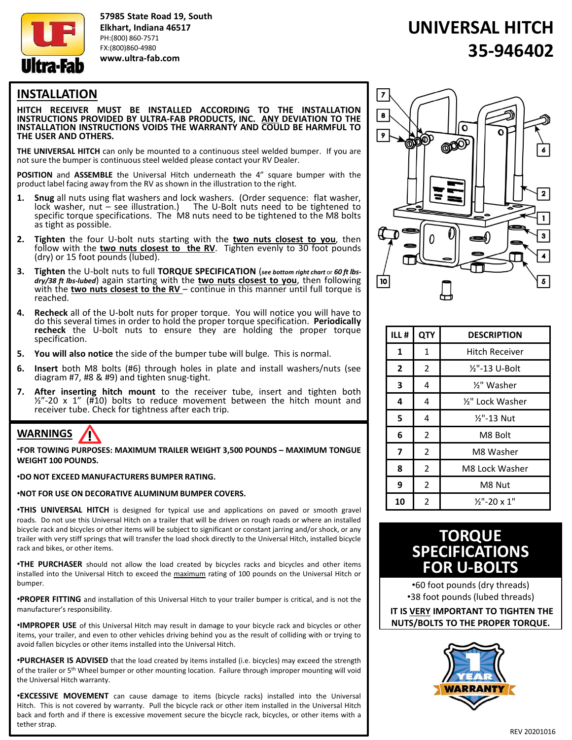

57985 State Road 19, South Elkhart, Indiana 46517 PH:(800) 860-7571 FX:(800)860-4980 www.ultra-fab.com

# UNIVERSAL HITCH 35-946402

## INSTALLATION

HITCH RECEIVER MUST BE INSTALLED ACCORDING TO THE INSTALLATION INSTRUCTIONS PROVIDED BY ULTRA-FAB PRODUCTS, INC. ANY DEVIATION TO THE INSTALLATION INSTRUCTIONS VOIDS THE WARRANTY AND COULD BE HARMFUL TO THE USER AND OTHERS.

THE UNIVERSAL HITCH can only be mounted to a continuous steel welded bumper. If you are not sure the bumper is continuous steel welded please contact your RV Dealer.

POSITION and ASSEMBLE the Universal Hitch underneath the 4" square bumper with the product label facing away from the RV as shown in the illustration to the right.

- 1. Snug all nuts using flat washers and lock washers. (Order sequence: flat washer, lock washer, nut – see illustration.) The U-Bolt nuts need to be tightened to specific torque specifications. The M8 nuts need to be tightened to the M8 bolts as tight as possible.
- 2. Tighten the four U-bolt nuts starting with the two nuts closest to you, then follow with the two nuts closest to the RV. Tighten evenly to 30 foot pounds (dry) or 15 foot pounds (lubed).
- 3. Tighten the U-bolt nuts to full TORQUE SPECIFICATION (see bottom right chart or 60 ft lbsdry/38 ft lbs-lubed) again starting with the two nuts closest to you, then following with the two nuts closest to the  $RV$  – continue in this manner until full torque is reached.
- 4. Recheck all of the U-bolt nuts for proper torque. You will notice you will have to do this several times in order to hold the proper torque specification. Periodically recheck the U-bolt nuts to ensure they are holding the proper torque specification.
- 5. You will also notice the side of the bumper tube will bulge. This is normal.
- 6. Insert both M8 bolts (#6) through holes in plate and install washers/nuts (see diagram #7, #8 & #9) and tighten snug-tight.
- **7.** After inserting hitch mount to the receiver tube, insert and tighten both  $\frac{1}{2}$ "-20 x 1" (#10) bolts to reduce movement between the hitch mount and receiver tube. Check for tightness after each trip.

#### WARNINGS Ţ

•FOR TOWING PURPOSES: MAXIMUM TRAILER WEIGHT 3,500 POUNDS – MAXIMUM TONGUE WEIGHT 100 POUNDS.

### •DO NOT EXCEED MANUFACTURERS BUMPER RATING.

### •NOT FOR USE ON DECORATIVE ALUMINUM BUMPER COVERS.

•THIS UNIVERSAL HITCH is designed for typical use and applications on paved or smooth gravel roads. Do not use this Universal Hitch on a trailer that will be driven on rough roads or where an installed bicycle rack and bicycles or other items will be subject to significant or constant jarring and/or shock, or any trailer with very stiff springs that will transfer the load shock directly to the Universal Hitch, installed bicycle rack and bikes, or other items.

•THE PURCHASER should not allow the load created by bicycles racks and bicycles and other items installed into the Universal Hitch to exceed the maximum rating of 100 pounds on the Universal Hitch or bumper.

•PROPER FITTING and installation of this Universal Hitch to your trailer bumper is critical, and is not the manufacturer's responsibility.

•IMPROPER USE of this Universal Hitch may result in damage to your bicycle rack and bicycles or other items, your trailer, and even to other vehicles driving behind you as the result of colliding with or trying to avoid fallen bicycles or other items installed into the Universal Hitch.

•PURCHASER IS ADVISED that the load created by items installed (i.e. bicycles) may exceed the strength of the trailer or 5<sup>th</sup> Wheel bumper or other mounting location. Failure through improper mounting will void the Universal Hitch warranty.

•EXCESSIVE MOVEMENT can cause damage to items (bicycle racks) installed into the Universal Hitch. This is not covered by warranty. Pull the bicycle rack or other item installed in the Universal Hitch back and forth and if there is excessive movement secure the bicycle rack, bicycles, or other items with a tether strap.



| ILL#                    | <b>QTY</b>     | <b>DESCRIPTION</b>      |
|-------------------------|----------------|-------------------------|
| 1                       | $\mathbf{1}$   | Hitch Receiver          |
| $\overline{2}$          | 2              | ½"-13 U-Bolt            |
| 3                       | 4              | %" Washer               |
| 4                       | 4              | 1/2" Lock Washer        |
| 5                       | 4              | $1/2$ "-13 Nut          |
| 6                       | 2              | M8 Bolt                 |
| $\overline{\mathbf{z}}$ | 2              | M8 Washer               |
| 8                       | $\overline{2}$ | M8 Lock Washer          |
| 9                       | $\overline{2}$ | M8 Nut                  |
| 10                      | $\overline{2}$ | $\frac{1}{2}$ "-20 x 1" |

## **TORQUE SPECIFICATIONS** FOR U-BOLTS

•60 foot pounds (dry threads) •38 foot pounds (lubed threads)

IT IS VERY IMPORTANT TO TIGHTEN THE NUTS/BOLTS TO THE PROPER TORQUE.